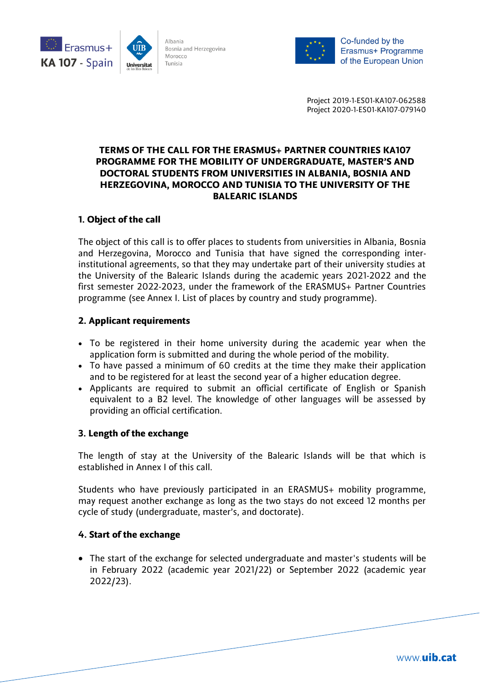



Co-funded by the Erasmus+ Programme of the European Union

Project 2019-1-ES01-KA107-062588 Project 2020-1-ES01-KA107-079140

# **TERMS OF THE CALL FOR THE ERASMUS+ PARTNER COUNTRIES KA107 PROGRAMME FOR THE MOBILITY OF UNDERGRADUATE, MASTER'S AND DOCTORAL STUDENTS FROM UNIVERSITIES IN ALBANIA, BOSNIA AND HERZEGOVINA, MOROCCO AND TUNISIA TO THE UNIVERSITY OF THE BALEARIC ISLANDS**

# **1. Object of the call**

The object of this call is to offer places to students from universities in Albania, Bosnia and Herzegovina, Morocco and Tunisia that have signed the corresponding interinstitutional agreements, so that they may undertake part of their university studies at the University of the Balearic Islands during the academic years 2021-2022 and the first semester 2022-2023, under the framework of the ERASMUS+ Partner Countries programme (see Annex I. List of places by country and study programme).

# **2. Applicant requirements**

- To be registered in their home university during the academic year when the application form is submitted and during the whole period of the mobility.
- To have passed a minimum of 60 credits at the time they make their application and to be registered for at least the second year of a higher education degree.
- Applicants are required to submit an official certificate of English or Spanish equivalent to a B2 level. The knowledge of other languages will be assessed by providing an official certification.

### **3. Length of the exchange**

The length of stay at the University of the Balearic Islands will be that which is established in Annex I of this call.

Students who have previously participated in an ERASMUS+ mobility programme, may request another exchange as long as the two stays do not exceed 12 months per cycle of study (undergraduate, master's, and doctorate).

### **4. Start of the exchange**

 The start of the exchange for selected undergraduate and master's students will be in February 2022 (academic year 2021/22) or September 2022 (academic year 2022/23).

www.uib.cat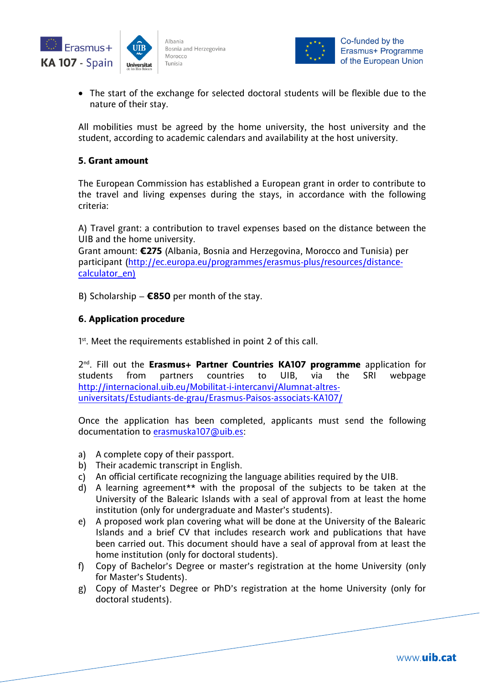



 The start of the exchange for selected doctoral students will be flexible due to the nature of their stay.

All mobilities must be agreed by the home university, the host university and the student, according to academic calendars and availability at the host university.

### **5. Grant amount**

The European Commission has established a European grant in order to contribute to the travel and living expenses during the stays, in accordance with the following criteria:

A) Travel grant: a contribution to travel expenses based on the distance between the UIB and the home university.

Grant amount: **€275** (Albania, Bosnia and Herzegovina, Morocco and Tunisia) per participant [\(http://ec.europa.eu/programmes/erasmus-plus/resources/distance](http://ec.europa.eu/programmes/erasmus-plus/resources/distance-calculator_en)[calculator\\_en\)](http://ec.europa.eu/programmes/erasmus-plus/resources/distance-calculator_en)

B) Scholarship – **€850** per month of the stay.

# **6. Application procedure**

<sup>1st</sup>. Meet the requirements established in point 2 of this call.

2 nd. Fill out the **Erasmus+ Partner Countries KA107 programme** application for students from partners countries to UIB, via the SRI webpage [http://internacional.uib.eu/Mobilitat-i-intercanvi/Alumnat-altres](http://internacional.uib.eu/Mobilitat-i-intercanvi/Alumnat-altres-universitats/Estudiants-de-grau/Erasmus-Paisos-associats-KA107/)[universitats/Estudiants-de-grau/Erasmus-Paisos-associats-KA107/](http://internacional.uib.eu/Mobilitat-i-intercanvi/Alumnat-altres-universitats/Estudiants-de-grau/Erasmus-Paisos-associats-KA107/)

Once the application has been completed, applicants must send the following documentation to [erasmuska107@uib.es:](mailto:erasmuska107@uib.es)

- a) A complete copy of their passport.
- b) Their academic transcript in English.
- c) An official certificate recognizing the language abilities required by the UIB.
- d) A learning agreement\*\* with the proposal of the subjects to be taken at the University of the Balearic Islands with a seal of approval from at least the home institution (only for undergraduate and Master's students).
- e) A proposed work plan covering what will be done at the University of the Balearic Islands and a brief CV that includes research work and publications that have been carried out. This document should have a seal of approval from at least the home institution (only for doctoral students).
- f) Copy of Bachelor's Degree or master's registration at the home University (only for Master's Students).
- g) Copy of Master's Degree or PhD's registration at the home University (only for doctoral students).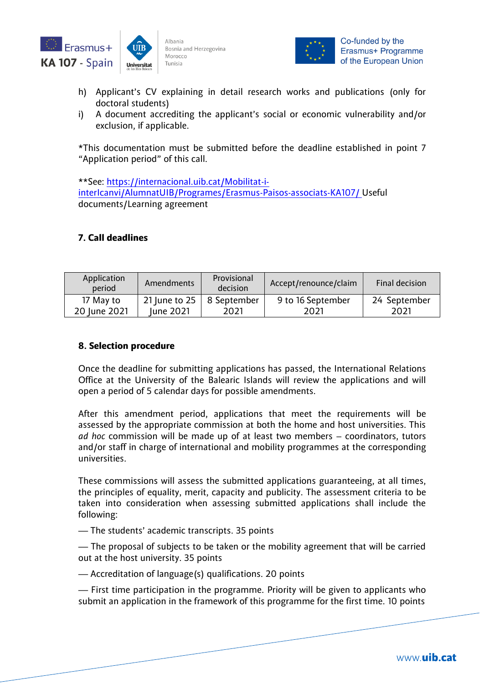



- h) Applicant's CV explaining in detail research works and publications (only for doctoral students)
- i) A document accrediting the applicant's social or economic vulnerability and/or exclusion, if applicable.

\*This documentation must be submitted before the deadline established in point 7 "Application period" of this call.

\*\*See: [https://internacional.uib.cat/Mobilitat-i](https://internacional.uib.cat/Mobilitat-i-interIcanvi/AlumnatUIB/Programes/Erasmus-Paisos-associats-KA107/)[interIcanvi/AlumnatUIB/Programes/Erasmus-Paisos-associats-KA107/](https://internacional.uib.cat/Mobilitat-i-interIcanvi/AlumnatUIB/Programes/Erasmus-Paisos-associats-KA107/) Useful documents/Learning agreement

# **7. Call deadlines**

| Application<br>period | Amendments    | Provisional<br>decision | Accept/renounce/claim | Final decision |
|-----------------------|---------------|-------------------------|-----------------------|----------------|
| 17 May to             | 21 June to 25 | 8 September             | 9 to 16 September     | 24 September   |
| 20 June 2021          | June 2021     | 2021                    | 2021                  | 2021           |

### **8. Selection procedure**

Once the deadline for submitting applications has passed, the International Relations Office at the University of the Balearic Islands will review the applications and will open a period of 5 calendar days for possible amendments.

After this amendment period, applications that meet the requirements will be assessed by the appropriate commission at both the home and host universities. This *ad hoc* commission will be made up of at least two members – coordinators, tutors and/or staff in charge of international and mobility programmes at the corresponding universities.

These commissions will assess the submitted applications guaranteeing, at all times, the principles of equality, merit, capacity and publicity. The assessment criteria to be taken into consideration when assessing submitted applications shall include the following:

— The students' academic transcripts. 35 points

— The proposal of subjects to be taken or the mobility agreement that will be carried out at the host university. 35 points

— Accreditation of language(s) qualifications. 20 points

— First time participation in the programme. Priority will be given to applicants who submit an application in the framework of this programme for the first time. 10 points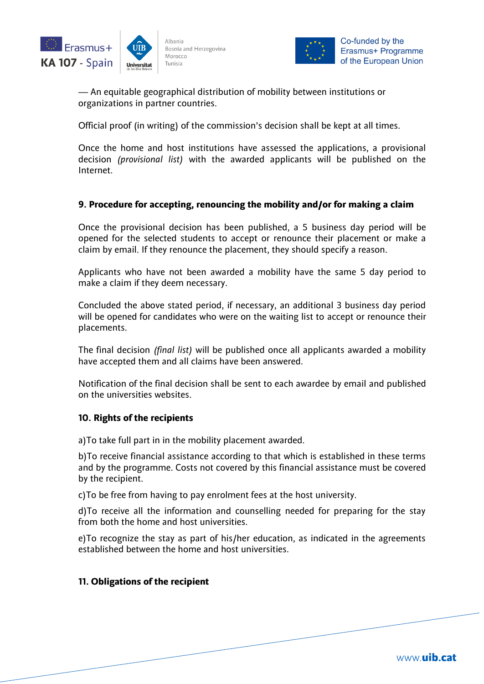



— An equitable geographical distribution of mobility between institutions or organizations in partner countries.

Official proof (in writing) of the commission's decision shall be kept at all times.

Once the home and host institutions have assessed the applications, a provisional decision *(provisional list)* with the awarded applicants will be published on the Internet.

### **9. Procedure for accepting, renouncing the mobility and/or for making a claim**

Once the provisional decision has been published, a 5 business day period will be opened for the selected students to accept or renounce their placement or make a claim by email. If they renounce the placement, they should specify a reason.

Applicants who have not been awarded a mobility have the same 5 day period to make a claim if they deem necessary.

Concluded the above stated period, if necessary, an additional 3 business day period will be opened for candidates who were on the waiting list to accept or renounce their placements.

The final decision *(final list)* will be published once all applicants awarded a mobility have accepted them and all claims have been answered.

Notification of the final decision shall be sent to each awardee by email and published on the universities websites.

#### **10. Rights of the recipients**

a)To take full part in in the mobility placement awarded.

b)To receive financial assistance according to that which is established in these terms and by the programme. Costs not covered by this financial assistance must be covered by the recipient.

c)To be free from having to pay enrolment fees at the host university.

d)To receive all the information and counselling needed for preparing for the stay from both the home and host universities.

e)To recognize the stay as part of his/her education, as indicated in the agreements established between the home and host universities.

#### **11. Obligations of the recipient**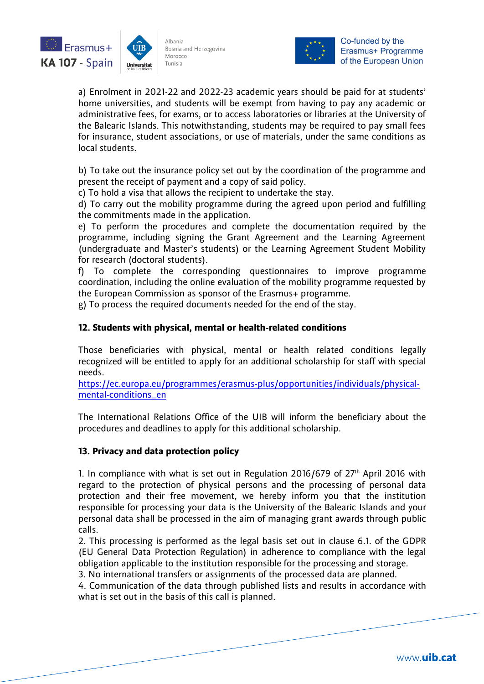



a) Enrolment in 2021-22 and 2022-23 academic years should be paid for at students' home universities, and students will be exempt from having to pay any academic or administrative fees, for exams, or to access laboratories or libraries at the University of the Balearic Islands. This notwithstanding, students may be required to pay small fees for insurance, student associations, or use of materials, under the same conditions as local students.

b) To take out the insurance policy set out by the coordination of the programme and present the receipt of payment and a copy of said policy.

c) To hold a visa that allows the recipient to undertake the stay.

d) To carry out the mobility programme during the agreed upon period and fulfilling the commitments made in the application.

e) To perform the procedures and complete the documentation required by the programme, including signing the Grant Agreement and the Learning Agreement (undergraduate and Master's students) or the Learning Agreement Student Mobility for research (doctoral students).

f) To complete the corresponding questionnaires to improve programme coordination, including the online evaluation of the mobility programme requested by the European Commission as sponsor of the Erasmus+ programme.

g) To process the required documents needed for the end of the stay.

# **12. Students with physical, mental or health-related conditions**

Those beneficiaries with physical, mental or health related conditions legally recognized will be entitled to apply for an additional scholarship for staff with special needs.

[https://ec.europa.eu/programmes/erasmus-plus/opportunities/individuals/physical](https://ec.europa.eu/programmes/erasmus-plus/opportunities/individuals/physical-mental-conditions_en)[mental-conditions\\_en](https://ec.europa.eu/programmes/erasmus-plus/opportunities/individuals/physical-mental-conditions_en)

The International Relations Office of the UIB will inform the beneficiary about the procedures and deadlines to apply for this additional scholarship.

### **13. Privacy and data protection policy**

1. In compliance with what is set out in Regulation 2016/679 of  $27<sup>th</sup>$  April 2016 with regard to the protection of physical persons and the processing of personal data protection and their free movement, we hereby inform you that the institution responsible for processing your data is the University of the Balearic Islands and your personal data shall be processed in the aim of managing grant awards through public calls.

2. This processing is performed as the legal basis set out in clause 6.1. of the GDPR (EU General Data Protection Regulation) in adherence to compliance with the legal obligation applicable to the institution responsible for the processing and storage.

3. No international transfers or assignments of the processed data are planned.

4. Communication of the data through published lists and results in accordance with what is set out in the basis of this call is planned.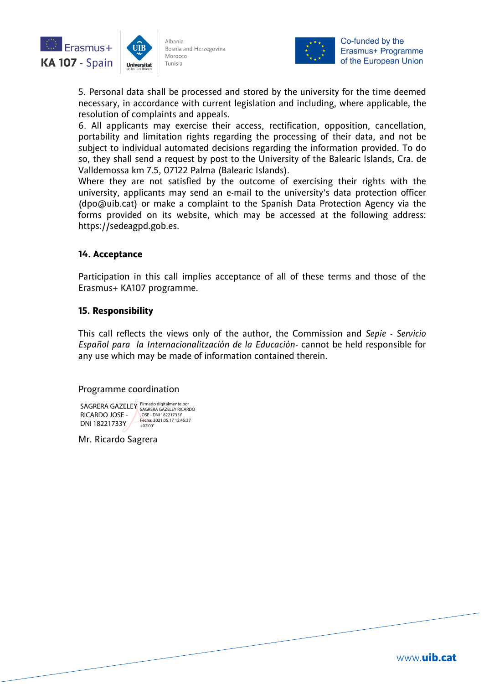



Co-funded by the Erasmus+ Programme of the European Union

5. Personal data shall be processed and stored by the university for the time deemed necessary, in accordance with current legislation and including, where applicable, the resolution of complaints and appeals.

6. All applicants may exercise their access, rectification, opposition, cancellation, portability and limitation rights regarding the processing of their data, and not be subject to individual automated decisions regarding the information provided. To do so, they shall send a request by post to the University of the Balearic Islands, Cra. de Valldemossa km 7.5, 07122 Palma (Balearic Islands).

Where they are not satisfied by the outcome of exercising their rights with the university, applicants may send an e-mail to the university's data protection officer (dpo@uib.cat) or make a complaint to the Spanish Data Protection Agency via the forms provided on its website, which may be accessed at the following address: https://sedeagpd.gob.es.

### **14. Acceptance**

Participation in this call implies acceptance of all of these terms and those of the Erasmus+ KA107 programme.

### **15. Responsibility**

This call reflects the views only of the author, the Commission and *Sepie* - *Servicio Español para la Internacionalitzación de la Educación*- cannot be held responsible for any use which may be made of information contained therein.

#### Programme coordination

SAGRERA GAZELEY Firmado digitalmente por **SAGRERA** GAZELEY RICARDO RICARDO JOSE - DNI 18221733Y JOSE - DNI 18221733Y Fecha: 2021.05.17 12:45:37 +02'00'

Mr. Ricardo Sagrera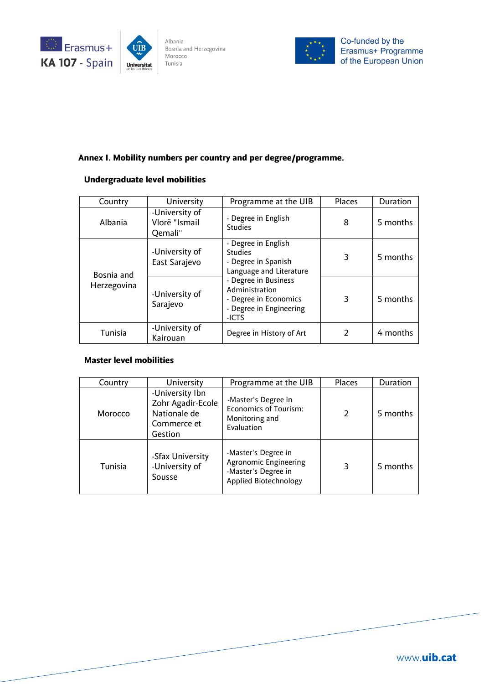





#### **Annex I. Mobility numbers per country and per degree/programme.**

### **Undergraduate level mobilities**

| Country                   | University                                 | Programme at the UIB                                                                                                                                                                           | Places        | Duration |
|---------------------------|--------------------------------------------|------------------------------------------------------------------------------------------------------------------------------------------------------------------------------------------------|---------------|----------|
| Albania                   | -University of<br>Vlorë "Ismail<br>Qemali" | - Degree in English<br><b>Studies</b>                                                                                                                                                          | 8             | 5 months |
| Bosnia and<br>Herzegovina | -University of<br>East Sarajevo            | - Degree in English<br><b>Studies</b><br>- Degree in Spanish<br>Language and Literature<br>- Degree in Business<br>Administration<br>- Degree in Economics<br>- Degree in Engineering<br>-ICTS | 3             | 5 months |
|                           | -University of<br>Sarajevo                 |                                                                                                                                                                                                | 3             | 5 months |
| Tunisia                   | -University of<br>Kairouan                 | Degree in History of Art                                                                                                                                                                       | $\mathcal{P}$ | 4 months |

#### **Master level mobilities**

| Country | University                                                                     | Programme at the UIB                                                                                | <b>Places</b> | Duration |
|---------|--------------------------------------------------------------------------------|-----------------------------------------------------------------------------------------------------|---------------|----------|
| Morocco | -University Ibn<br>Zohr Agadir-Ecole<br>Nationale de<br>Commerce et<br>Gestion | -Master's Degree in<br><b>Economics of Tourism:</b><br>Monitoring and<br>Evaluation                 | $\mathcal{P}$ | 5 months |
| Tunisia | -Sfax University<br>-University of<br>Sousse                                   | -Master's Degree in<br><b>Agronomic Engineering</b><br>-Master's Degree in<br>Applied Biotechnology | 3             | 5 months |